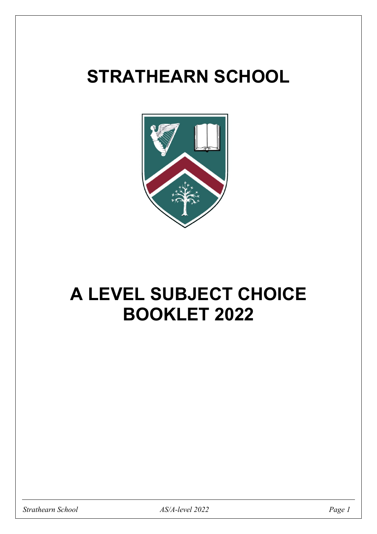# **STRATHEARN SCHOOL**



# **A LEVEL SUBJECT CHOICE BOOKLET 2022**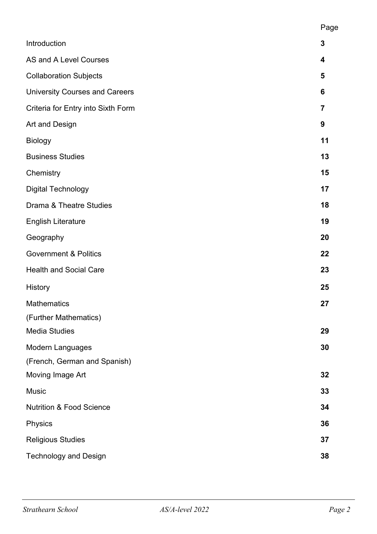| Introduction                          | 3              |
|---------------------------------------|----------------|
| AS and A Level Courses                | 4              |
| <b>Collaboration Subjects</b>         | 5              |
| <b>University Courses and Careers</b> | 6              |
| Criteria for Entry into Sixth Form    | $\overline{7}$ |
| Art and Design                        | 9              |
| <b>Biology</b>                        | 11             |
| <b>Business Studies</b>               | 13             |
| Chemistry                             | 15             |
| <b>Digital Technology</b>             | 17             |
| Drama & Theatre Studies               | 18             |
| <b>English Literature</b>             | 19             |
| Geography                             | 20             |
| <b>Government &amp; Politics</b>      | 22             |
| <b>Health and Social Care</b>         | 23             |
| History                               | 25             |
| <b>Mathematics</b>                    | 27             |
| (Further Mathematics)                 |                |
| <b>Media Studies</b>                  | 29             |
| Modern Languages                      | 30             |
| (French, German and Spanish)          |                |
| Moving Image Art                      | 32             |
| <b>Music</b>                          | 33             |
| <b>Nutrition &amp; Food Science</b>   | 34             |
| Physics                               | 36             |
| <b>Religious Studies</b>              | 37             |
| <b>Technology and Design</b>          | 38             |
|                                       |                |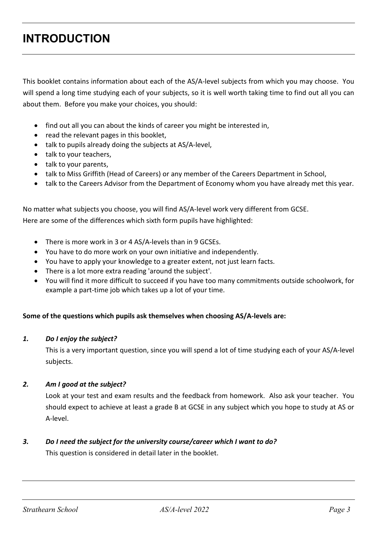# **INTRODUCTION**

This booklet contains information about each of the AS/A-level subjects from which you may choose. You will spend a long time studying each of your subjects, so it is well worth taking time to find out all you can about them. Before you make your choices, you should:

- find out all you can about the kinds of career you might be interested in,
- read the relevant pages in this booklet,
- talk to pupils already doing the subjects at AS/A-level,
- talk to your teachers,
- talk to your parents,
- talk to Miss Griffith (Head of Careers) or any member of the Careers Department in School,
- talk to the Careers Advisor from the Department of Economy whom you have already met this year.

No matter what subjects you choose, you will find AS/A-level work very different from GCSE. Here are some of the differences which sixth form pupils have highlighted:

- There is more work in 3 or 4 AS/A-levels than in 9 GCSEs.
- You have to do more work on your own initiative and independently.
- You have to apply your knowledge to a greater extent, not just learn facts.
- There is a lot more extra reading 'around the subject'.
- You will find it more difficult to succeed if you have too many commitments outside schoolwork, for example a part-time job which takes up a lot of your time.

# **Some of the questions which pupils ask themselves when choosing AS/A-levels are:**

# *1. Do I enjoy the subject?*

This is a very important question, since you will spend a lot of time studying each of your AS/A-level subjects.

# *2. Am I good at the subject?*

Look at your test and exam results and the feedback from homework. Also ask your teacher. You should expect to achieve at least a grade B at GCSE in any subject which you hope to study at AS or A-level.

# *3. Do I need the subject for the university course/career which I want to do?*

This question is considered in detail later in the booklet.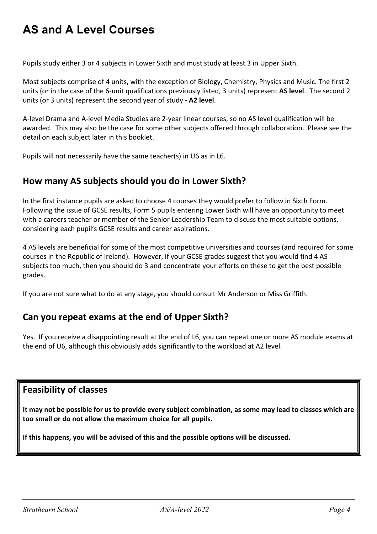# **AS and A Level Courses**

Pupils study either 3 or 4 subjects in Lower Sixth and must study at least 3 in Upper Sixth.

Most subjects comprise of 4 units, with the exception of Biology, Chemistry, Physics and Music. The first 2 units (or in the case of the 6-unit qualifications previously listed, 3 units) represent **AS level**. The second 2 units (or 3 units) represent the second year of study - **A2 level**.

A-level Drama and A-level Media Studies are 2-year linear courses, so no AS level qualification will be awarded. This may also be the case for some other subjects offered through collaboration. Please see the detail on each subject later in this booklet.

Pupils will not necessarily have the same teacher(s) in U6 as in L6.

# **How many AS subjects should you do in Lower Sixth?**

In the first instance pupils are asked to choose 4 courses they would prefer to follow in Sixth Form. Following the issue of GCSE results, Form 5 pupils entering Lower Sixth will have an opportunity to meet with a careers teacher or member of the Senior Leadership Team to discuss the most suitable options, considering each pupil's GCSE results and career aspirations.

4 AS levels are beneficial for some of the most competitive universities and courses (and required for some courses in the Republic of Ireland). However, if your GCSE grades suggest that you would find 4 AS subjects too much, then you should do 3 and concentrate your efforts on these to get the best possible grades.

If you are not sure what to do at any stage, you should consult Mr Anderson or Miss Griffith.

# **Can you repeat exams at the end of Upper Sixth?**

Yes. If you receive a disappointing result at the end of L6, you can repeat one or more AS module exams at the end of U6, although this obviously adds significantly to the workload at A2 level.

# **Feasibility of classes**

**It may not be possible for us to provide every subject combination, as some may lead to classes which are too small or do not allow the maximum choice for all pupils.** 

**If this happens, you will be advised of this and the possible options will be discussed.**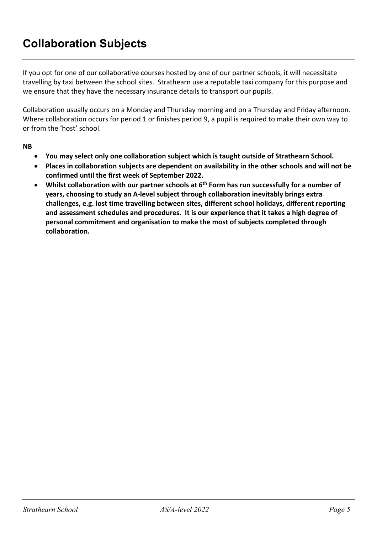# **Collaboration Subjects**

If you opt for one of our collaborative courses hosted by one of our partner schools, it will necessitate travelling by taxi between the school sites. Strathearn use a reputable taxi company for this purpose and we ensure that they have the necessary insurance details to transport our pupils.

Collaboration usually occurs on a Monday and Thursday morning and on a Thursday and Friday afternoon. Where collaboration occurs for period 1 or finishes period 9, a pupil is required to make their own way to or from the 'host' school.

# **NB**

- **You may select only one collaboration subject which is taught outside of Strathearn School.**
- **Places in collaboration subjects are dependent on availability in the other schools and will not be confirmed until the first week of September 2022.**
- **Whilst collaboration with our partner schools at 6th Form has run successfully for a number of years, choosing to study an A-level subject through collaboration inevitably brings extra challenges, e.g. lost time travelling between sites, different school holidays, different reporting and assessment schedules and procedures. It is our experience that it takes a high degree of personal commitment and organisation to make the most of subjects completed through collaboration.**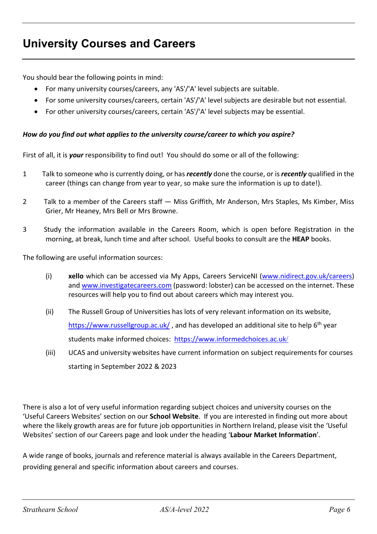# **University Courses and Careers**

You should bear the following points in mind:

- For many university courses/careers, any 'AS'/'A' level subjects are suitable.
- For some university courses/careers, certain 'AS'/'A' level subjects are desirable but not essential.
- For other university courses/careers, certain 'AS'/'A' level subjects may be essential.

# *How do you find out what applies to the university course/career to which you aspire?*

First of all, it is *your* responsibility to find out! You should do some or all of the following:

- 1 Talk to someone who is currently doing, or has *recently* done the course, or is *recently* qualified in the career (things can change from year to year, so make sure the information is up to date!).
- 2 Talk to a member of the Careers staff Miss Griffith, Mr Anderson, Mrs Staples, Ms Kimber, Miss Grier, Mr Heaney, Mrs Bell or Mrs Browne.
- 3 Study the information available in the Careers Room, which is open before Registration in the morning, at break, lunch time and after school. Useful books to consult are the **HEAP** books.

The following are useful information sources:

- (i) **xello** which can be accessed via My Apps, Careers ServiceNI [\(www.nidirect.gov.uk/careers\)](http://www.nidirect.gov.uk/careers) and [www.investigatecareers.com](http://www.investigatecareers.com/) (password: lobster) can be accessed on the internet. These resources will help you to find out about careers which may interest you.
- (ii) The Russell Group of Universities has lots of very relevant information on its website, <https://www.russellgroup.ac.uk/>, and has developed an additional site to help  $6<sup>th</sup>$  year students make informed choices: [https://www.informedchoices.ac.uk](https://www.informedchoices.ac.uk/)[/](https://www.informedchoices.ac.uk/)
- (iii) UCAS and university websites have current information on subject requirements for courses starting in September 2022 & 2023

There is also a lot of very useful information regarding subject choices and university courses on the 'Useful Careers Websites' section on our **School Website**. If you are interested in finding out more about where the likely growth areas are for future job opportunities in Northern Ireland, please visit the 'Useful Websites' section of our Careers page and look under the heading '**Labour Market Information**'.

A wide range of books, journals and reference material is always available in the Careers Department, providing general and specific information about careers and courses.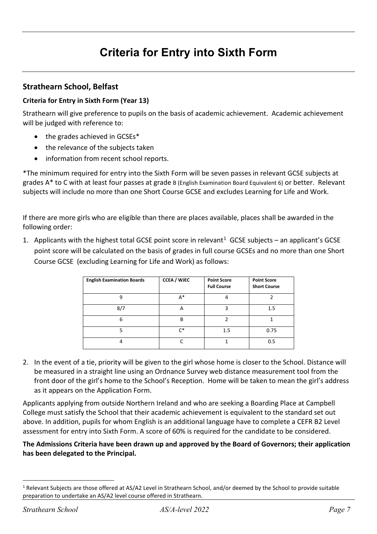# **Criteria for Entry into Sixth Form**

# **Strathearn School, Belfast**

# **Criteria for Entry in Sixth Form (Year 13)**

Strathearn will give preference to pupils on the basis of academic achievement. Academic achievement will be judged with reference to:

- the grades achieved in GCSEs\*
- the relevance of the subjects taken
- information from recent school reports.

\*The minimum required for entry into the Sixth Form will be seven passes in relevant GCSE subjects at grades A\* to C with at least four passes at grade B (English Examination Board Equivalent 6) or better. Relevant subjects will include no more than one Short Course GCSE and excludes Learning for Life and Work.

If there are more girls who are eligible than there are places available, places shall be awarded in the following order:

[1](#page-6-0). Applicants with the highest total GCSE point score in relevant<sup>1</sup> GCSE subjects – an applicant's GCSE point score will be calculated on the basis of grades in full course GCSEs and no more than one Short Course GCSE (excluding Learning for Life and Work) as follows:

| <b>English Examination Boards</b> | <b>CCEA / WJEC</b> | <b>Point Score</b><br><b>Full Course</b> | <b>Point Score</b><br><b>Short Course</b> |
|-----------------------------------|--------------------|------------------------------------------|-------------------------------------------|
| 9                                 | $A^*$              |                                          |                                           |
| 8/7                               | А                  |                                          | 1.5                                       |
| 6                                 | B                  |                                          |                                           |
|                                   | ~۴                 | 1.5                                      | 0.75                                      |
|                                   |                    |                                          | 0.5                                       |

2. In the event of a tie, priority will be given to the girl whose home is closer to the School. Distance will be measured in a straight line using an Ordnance Survey web distance measurement tool from the front door of the girl's home to the School's Reception. Home will be taken to mean the girl's address as it appears on the Application Form.

Applicants applying from outside Northern Ireland and who are seeking a Boarding Place at Campbell College must satisfy the School that their academic achievement is equivalent to the standard set out above. In addition, pupils for whom English is an additional language have to complete a CEFR B2 Level assessment for entry into Sixth Form. A score of 60% is required for the candidate to be considered.

**The Admissions Criteria have been drawn up and approved by the Board of Governors; their application has been delegated to the Principal.**

<span id="page-6-0"></span> $1$  Relevant Subjects are those offered at AS/A2 Level in Strathearn School, and/or deemed by the School to provide suitable preparation to undertake an AS/A2 level course offered in Strathearn.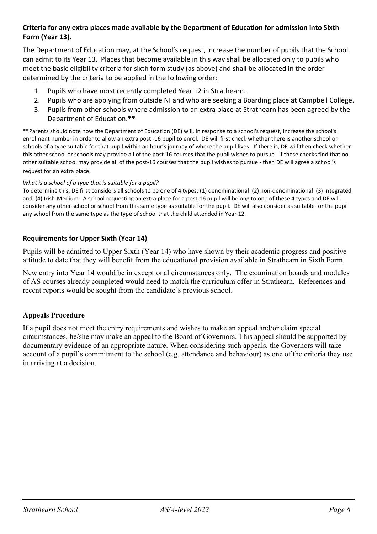# **Criteria for any extra places made available by the Department of Education for admission into Sixth Form (Year 13).**

The Department of Education may, at the School's request, increase the number of pupils that the School can admit to its Year 13. Places that become available in this way shall be allocated only to pupils who meet the basic eligibility criteria for sixth form study (as above) and shall be allocated in the order determined by the criteria to be applied in the following order:

- 1. Pupils who have most recently completed Year 12 in Strathearn.
- 2. Pupils who are applying from outside NI and who are seeking a Boarding place at Campbell College.
- 3. Pupils from other schools where admission to an extra place at Strathearn has been agreed by the Department of Education.\*\*

\*\*Parents should note how the Department of Education (DE) will, in response to a school's request, increase the school's enrolment number in order to allow an extra post -16 pupil to enrol. DE will first check whether there is another school or schools of a type suitable for that pupil within an hour's journey of where the pupil lives. If there is, DE will then check whether this other school or schools may provide all of the post-16 courses that the pupil wishes to pursue. If these checks find that no other suitable school may provide all of the post-16 courses that the pupil wishes to pursue - then DE will agree a school's request for an extra place.

# *What is a school of a type that is suitable for a pupil?*

To determine this, DE first considers all schools to be one of 4 types: (1) denominational (2) non-denominational (3) Integrated and (4) Irish-Medium. A school requesting an extra place for a post-16 pupil will belong to one of these 4 types and DE will consider any other school or school from this same type as suitable for the pupil. DE will also consider as suitable for the pupil any school from the same type as the type of school that the child attended in Year 12.

# **Requirements for Upper Sixth (Year 14)**

Pupils will be admitted to Upper Sixth (Year 14) who have shown by their academic progress and positive attitude to date that they will benefit from the educational provision available in Strathearn in Sixth Form.

New entry into Year 14 would be in exceptional circumstances only. The examination boards and modules of AS courses already completed would need to match the curriculum offer in Strathearn. References and recent reports would be sought from the candidate's previous school.

# **Appeals Procedure**

If a pupil does not meet the entry requirements and wishes to make an appeal and/or claim special circumstances, he/she may make an appeal to the Board of Governors. This appeal should be supported by documentary evidence of an appropriate nature. When considering such appeals, the Governors will take account of a pupil's commitment to the school (e.g. attendance and behaviour) as one of the criteria they use in arriving at a decision.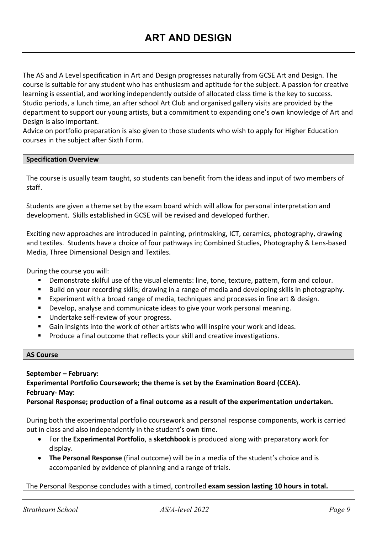# **ART AND DESIGN**

The AS and A Level specification in Art and Design progresses naturally from GCSE Art and Design. The course is suitable for any student who has enthusiasm and aptitude for the subject. A passion for creative learning is essential, and working independently outside of allocated class time is the key to success. Studio periods, a lunch time, an after school Art Club and organised gallery visits are provided by the department to support our young artists, but a commitment to expanding one's own knowledge of Art and Design is also important.

Advice on portfolio preparation is also given to those students who wish to apply for Higher Education courses in the subject after Sixth Form.

# **Specification Overview**

The course is usually team taught, so students can benefit from the ideas and input of two members of staff.

Students are given a theme set by the exam board which will allow for personal interpretation and development. Skills established in GCSE will be revised and developed further.

Exciting new approaches are introduced in painting, printmaking, ICT, ceramics, photography, drawing and textiles. Students have a choice of four pathways in; Combined Studies, Photography & Lens-based Media, Three Dimensional Design and Textiles.

During the course you will:

- Demonstrate skilful use of the visual elements: line, tone, texture, pattern, form and colour.
- Build on your recording skills; drawing in a range of media and developing skills in photography.
- **Experiment with a broad range of media, techniques and processes in fine art & design.**
- **Develop, analyse and communicate ideas to give your work personal meaning.**
- **Undertake self-review of your progress.**
- Gain insights into the work of other artists who will inspire your work and ideas.
- **Produce a final outcome that reflects your skill and creative investigations.**

#### **AS Course**

**September – February:**

**Experimental Portfolio Coursework; the theme is set by the Examination Board (CCEA). February- May:** 

**Personal Response; production of a final outcome as a result of the experimentation undertaken.**

During both the experimental portfolio coursework and personal response components, work is carried out in class and also independently in the student's own time.

- For the **Experimental Portfolio**, a **sketchbook** is produced along with preparatory work for display.
- **The Personal Response** (final outcome) will be in a media of the student's choice and is accompanied by evidence of planning and a range of trials.

The Personal Response concludes with a timed, controlled **exam session lasting 10 hours in total.**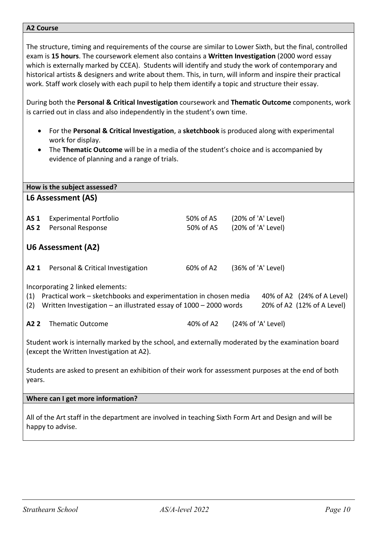# **A2 Course**

The structure, timing and requirements of the course are similar to Lower Sixth, but the final, controlled exam is **15 hours**. The coursework element also contains a **Written Investigation** (2000 word essay which is externally marked by CCEA). Students will identify and study the work of contemporary and historical artists & designers and write about them. This, in turn, will inform and inspire their practical work. Staff work closely with each pupil to help them identify a topic and structure their essay.

During both the **Personal & Critical Investigation** coursework and **Thematic Outcome** components, work is carried out in class and also independently in the student's own time.

- For the **Personal & Critical Investigation**, a **sketchbook** is produced along with experimental work for display.
- The **Thematic Outcome** will be in a media of the student's choice and is accompanied by evidence of planning and a range of trials.

| How is the subject assessed?                                                                                                                                                                                                                          |                                   |           |                    |  |  |
|-------------------------------------------------------------------------------------------------------------------------------------------------------------------------------------------------------------------------------------------------------|-----------------------------------|-----------|--------------------|--|--|
|                                                                                                                                                                                                                                                       | L6 Assessment (AS)                |           |                    |  |  |
|                                                                                                                                                                                                                                                       |                                   |           |                    |  |  |
| <b>AS 1</b>                                                                                                                                                                                                                                           | <b>Experimental Portfolio</b>     | 50% of AS | (20% of 'A' Level) |  |  |
| AS <sub>2</sub>                                                                                                                                                                                                                                       | <b>Personal Response</b>          | 50% of AS | (20% of 'A' Level) |  |  |
|                                                                                                                                                                                                                                                       | U6 Assessment (A2)                |           |                    |  |  |
| A2 1                                                                                                                                                                                                                                                  | Personal & Critical Investigation | 60% of A2 | (36% of 'A' Level) |  |  |
| Incorporating 2 linked elements:<br>Practical work – sketchbooks and experimentation in chosen media<br>(1)<br>40% of A2 (24% of A Level)<br>Written Investigation - an illustrated essay of $1000 - 2000$ words<br>(2)<br>20% of A2 (12% of A Level) |                                   |           |                    |  |  |
| A2 2                                                                                                                                                                                                                                                  | <b>Thematic Outcome</b>           | 40% of A2 | (24% of 'A' Level) |  |  |
| Student work is internally marked by the school, and externally moderated by the examination board<br>(except the Written Investigation at A2).                                                                                                       |                                   |           |                    |  |  |
| Students are asked to present an exhibition of their work for assessment purposes at the end of both<br>years.                                                                                                                                        |                                   |           |                    |  |  |
| Where can I get more information?                                                                                                                                                                                                                     |                                   |           |                    |  |  |
| All of the Art staff in the department are involved in teaching Sixth Form Art and Design and will be<br>happy to advise.                                                                                                                             |                                   |           |                    |  |  |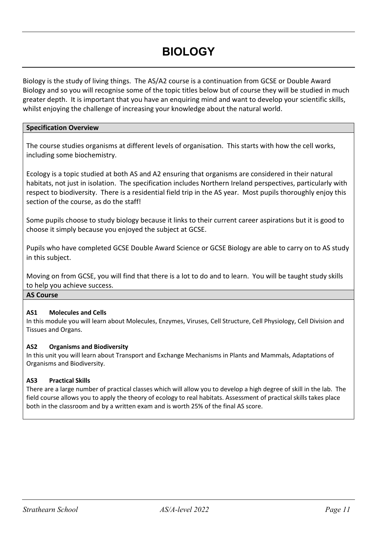# **BIOLOGY**

Biology is the study of living things. The AS/A2 course is a continuation from GCSE or Double Award Biology and so you will recognise some of the topic titles below but of course they will be studied in much greater depth. It is important that you have an enquiring mind and want to develop your scientific skills, whilst enjoying the challenge of increasing your knowledge about the natural world.

# **Specification Overview**

The course studies organisms at different levels of organisation. This starts with how the cell works, including some biochemistry.

Ecology is a topic studied at both AS and A2 ensuring that organisms are considered in their natural habitats, not just in isolation. The specification includes Northern Ireland perspectives, particularly with respect to biodiversity. There is a residential field trip in the AS year. Most pupils thoroughly enjoy this section of the course, as do the staff!

Some pupils choose to study biology because it links to their current career aspirations but it is good to choose it simply because you enjoyed the subject at GCSE.

Pupils who have completed GCSE Double Award Science or GCSE Biology are able to carry on to AS study in this subject.

Moving on from GCSE, you will find that there is a lot to do and to learn. You will be taught study skills to help you achieve success.

# **AS Course**

# **AS1 Molecules and Cells**

In this module you will learn about Molecules, Enzymes, Viruses, Cell Structure, Cell Physiology, Cell Division and Tissues and Organs.

# **AS2 Organisms and Biodiversity**

In this unit you will learn about Transport and Exchange Mechanisms in Plants and Mammals, Adaptations of Organisms and Biodiversity.

# **AS3 Practical Skills**

There are a large number of practical classes which will allow you to develop a high degree of skill in the lab. The field course allows you to apply the theory of ecology to real habitats. Assessment of practical skills takes place both in the classroom and by a written exam and is worth 25% of the final AS score.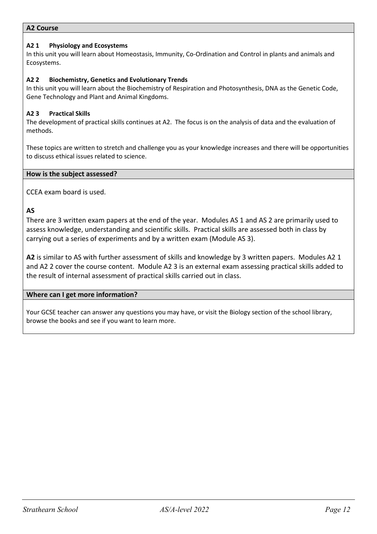# **A2 Course**

# **A2 1 Physiology and Ecosystems**

In this unit you will learn about Homeostasis, Immunity, Co-Ordination and Control in plants and animals and Ecosystems.

# **A2 2 Biochemistry, Genetics and Evolutionary Trends**

In this unit you will learn about the Biochemistry of Respiration and Photosynthesis, DNA as the Genetic Code, Gene Technology and Plant and Animal Kingdoms.

# **A2 3 Practical Skills**

The development of practical skills continues at A2. The focus is on the analysis of data and the evaluation of methods.

These topics are written to stretch and challenge you as your knowledge increases and there will be opportunities to discuss ethical issues related to science.

# **How is the subject assessed?**

CCEA exam board is used.

# **AS**

There are 3 written exam papers at the end of the year. Modules AS 1 and AS 2 are primarily used to assess knowledge, understanding and scientific skills. Practical skills are assessed both in class by carrying out a series of experiments and by a written exam (Module AS 3).

**A2** is similar to AS with further assessment of skills and knowledge by 3 written papers. Modules A2 1 and A2 2 cover the course content. Module A2 3 is an external exam assessing practical skills added to the result of internal assessment of practical skills carried out in class.

# **Where can I get more information?**

Your GCSE teacher can answer any questions you may have, or visit the Biology section of the school library, browse the books and see if you want to learn more.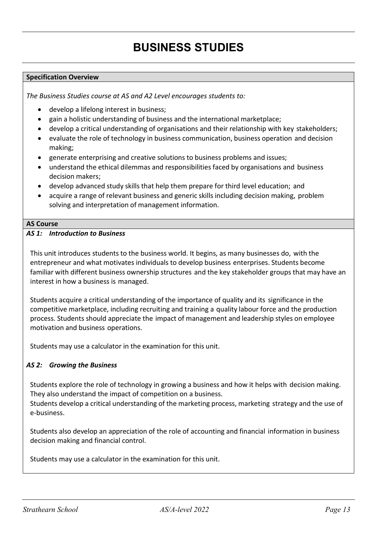# **BUSINESS STUDIES**

# **Specification Overview**

*The Business Studies course at AS and A2 Level encourages students to:*

- develop a lifelong interest in business;
- gain a holistic understanding of business and the international marketplace;
- develop a critical understanding of organisations and their relationship with key stakeholders;
- evaluate the role of technology in business communication, business operation and decision making;
- generate enterprising and creative solutions to business problems and issues;
- understand the ethical dilemmas and responsibilities faced by organisations and business decision makers;
- develop advanced study skills that help them prepare for third level education; and
- acquire a range of relevant business and generic skills including decision making, problem solving and interpretation of management information.

# **AS Course**

#### *AS 1: Introduction to Business*

This unit introduces students to the business world. It begins, as many businesses do, with the entrepreneur and what motivates individuals to develop business enterprises. Students become familiar with different business ownership structures and the key stakeholder groups that may have an interest in how a business is managed.

Students acquire a critical understanding of the importance of quality and its significance in the competitive marketplace, including recruiting and training a quality labour force and the production process. Students should appreciate the impact of management and leadership styles on employee motivation and business operations.

Students may use a calculator in the examination for this unit.

# *AS 2: Growing the Business*

Students explore the role of technology in growing a business and how it helps with decision making. They also understand the impact of competition on a business. Students develop a critical understanding of the marketing process, marketing strategy and the use of e-business.

Students also develop an appreciation of the role of accounting and financial information in business decision making and financial control.

Students may use a calculator in the examination for this unit.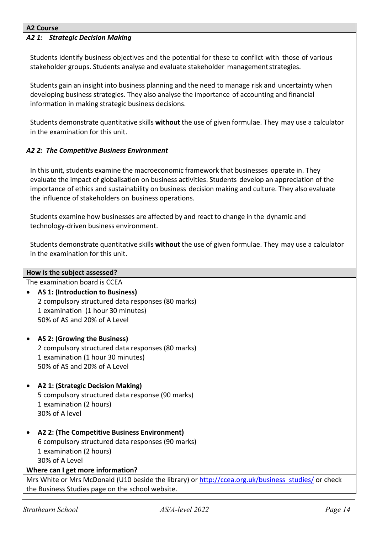# **A2 Course**

# *A2 1: Strategic Decision Making*

Students identify business objectives and the potential for these to conflict with those of various stakeholder groups. Students analyse and evaluate stakeholder managementstrategies.

Students gain an insight into business planning and the need to manage risk and uncertainty when developing business strategies. They also analyse the importance of accounting and financial information in making strategic business decisions.

Students demonstrate quantitative skills **without** the use of given formulae. They may use a calculator in the examination for this unit.

# *A2 2: The Competitive Business Environment*

In this unit, students examine the macroeconomic framework that businesses operate in. They evaluate the impact of globalisation on business activities. Students develop an appreciation of the importance of ethics and sustainability on business decision making and culture. They also evaluate the influence of stakeholders on business operations.

Students examine how businesses are affected by and react to change in the dynamic and technology-driven business environment.

Students demonstrate quantitative skills **without** the use of given formulae. They may use a calculator in the examination for this unit.

# **How is the subject assessed?**

The examination board is CCEA

- **AS 1: (Introduction to Business)** 2 compulsory structured data responses (80 marks) 1 examination (1 hour 30 minutes) 50% of AS and 20% of A Level
- **AS 2: (Growing the Business)** 2 compulsory structured data responses (80 marks) 1 examination (1 hour 30 minutes) 50% of AS and 20% of A Level
- **A2 1: (Strategic Decision Making)** 5 compulsory structured data response (90 marks) 1 examination (2 hours) 30% of A level
- **A2 2: (The Competitive Business Environment)** 6 compulsory structured data responses (90 marks) 1 examination (2 hours) 30% of A Level

# **Where can I get more information?**

Mrs White or Mrs McDonald (U10 beside the library) o[r http://ccea.org.uk/business\\_studies/](http://ccea.org.uk/business_studies/) or check the Business Studies page on the school website.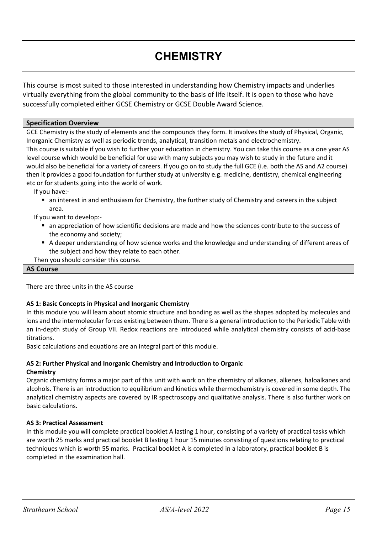# **CHEMISTRY**

This course is most suited to those interested in understanding how Chemistry impacts and underlies virtually everything from the global community to the basis of life itself. It is open to those who have successfully completed either GCSE Chemistry or GCSE Double Award Science.

# **Specification Overview**

GCE Chemistry is the study of elements and the compounds they form. It involves the study of Physical, Organic, Inorganic Chemistry as well as periodic trends, analytical, transition metals and electrochemistry. This course is suitable if you wish to further your education in chemistry. You can take this course as a one year AS level course which would be beneficial for use with many subjects you may wish to study in the future and it would also be beneficial for a variety of careers. If you go on to study the full GCE (i.e. both the AS and A2 course) then it provides a good foundation for further study at university e.g. medicine, dentistry, chemical engineering etc or for students going into the world of work.

If you have:-

 an interest in and enthusiasm for Chemistry, the further study of Chemistry and careers in the subject area.

If you want to develop:-

- an appreciation of how scientific decisions are made and how the sciences contribute to the success of the economy and society;
- A deeper understanding of how science works and the knowledge and understanding of different areas of the subject and how they relate to each other.

Then you should consider this course.

#### **AS Course**

There are three units in the AS course

# **AS 1: Basic Concepts in Physical and Inorganic Chemistry**

In this module you will learn about atomic structure and bonding as well as the shapes adopted by molecules and ions and the intermolecular forces existing between them. There is a general introduction to the Periodic Table with an in-depth study of Group VII. Redox reactions are introduced while analytical chemistry consists of acid-base titrations.

Basic calculations and equations are an integral part of this module.

#### **AS 2: Further Physical and Inorganic Chemistry and Introduction to Organic Chemistry**

Organic chemistry forms a major part of this unit with work on the chemistry of alkanes, alkenes, haloalkanes and alcohols. There is an introduction to equilibrium and kinetics while thermochemistry is covered in some depth. The analytical chemistry aspects are covered by IR spectroscopy and qualitative analysis. There is also further work on basic calculations.

#### **AS 3: Practical Assessment**

In this module you will complete practical booklet A lasting 1 hour, consisting of a variety of practical tasks which are worth 25 marks and practical booklet B lasting 1 hour 15 minutes consisting of questions relating to practical techniques which is worth 55 marks. Practical booklet A is completed in a laboratory, practical booklet B is completed in the examination hall.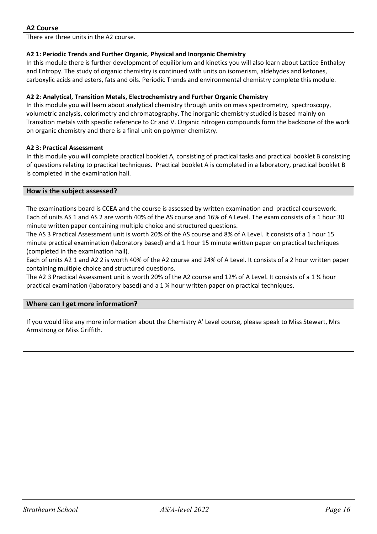# **A2 Course**

There are three units in the A2 course.

# **A2 1: Periodic Trends and Further Organic, Physical and Inorganic Chemistry**

In this module there is further development of equilibrium and kinetics you will also learn about Lattice Enthalpy and Entropy. The study of organic chemistry is continued with units on isomerism, aldehydes and ketones, carboxylic acids and esters, fats and oils. Periodic Trends and environmental chemistry complete this module.

#### **A2 2: Analytical, Transition Metals, Electrochemistry and Further Organic Chemistry**

In this module you will learn about analytical chemistry through units on mass spectrometry, spectroscopy, volumetric analysis, colorimetry and chromatography. The inorganic chemistry studied is based mainly on Transition metals with specific reference to Cr and V. Organic nitrogen compounds form the backbone of the work on organic chemistry and there is a final unit on polymer chemistry.

#### **A2 3: Practical Assessment**

In this module you will complete practical booklet A, consisting of practical tasks and practical booklet B consisting of questions relating to practical techniques. Practical booklet A is completed in a laboratory, practical booklet B is completed in the examination hall.

#### **How is the subject assessed?**

The examinations board is CCEA and the course is assessed by written examination and practical coursework. Each of units AS 1 and AS 2 are worth 40% of the AS course and 16% of A Level. The exam consists of a 1 hour 30 minute written paper containing multiple choice and structured questions.

The AS 3 Practical Assessment unit is worth 20% of the AS course and 8% of A Level. It consists of a 1 hour 15 minute practical examination (laboratory based) and a 1 hour 15 minute written paper on practical techniques (completed in the examination hall).

Each of units A2 1 and A2 2 is worth 40% of the A2 course and 24% of A Level. It consists of a 2 hour written paper containing multiple choice and structured questions.

The A2 3 Practical Assessment unit is worth 20% of the A2 course and 12% of A Level. It consists of a 1 ¼ hour practical examination (laboratory based) and a 1 ¼ hour written paper on practical techniques.

#### **Where can I get more information?**

If you would like any more information about the Chemistry A' Level course, please speak to Miss Stewart, Mrs Armstrong or Miss Griffith.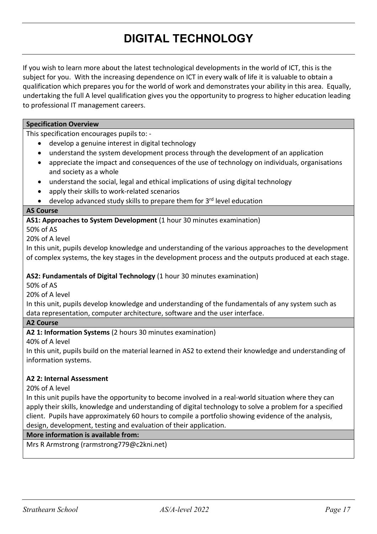# **DIGITAL TECHNOLOGY**

If you wish to learn more about the latest technological developments in the world of ICT, this is the subject for you. With the increasing dependence on ICT in every walk of life it is valuable to obtain a qualification which prepares you for the world of work and demonstrates your ability in this area. Equally, undertaking the full A level qualification gives you the opportunity to progress to higher education leading to professional IT management careers.

# **Specification Overview**

This specification encourages pupils to: -

- develop a genuine interest in digital technology
- understand the system development process through the development of an application
- appreciate the impact and consequences of the use of technology on individuals, organisations and society as a whole
- understand the social, legal and ethical implications of using digital technology
- apply their skills to work-related scenarios
- develop advanced study skills to prepare them for  $3<sup>rd</sup>$  level education

#### **AS Course**

# **AS1: Approaches to System Development** (1 hour 30 minutes examination)

50% of AS

20% of A level

In this unit, pupils develop knowledge and understanding of the various approaches to the development of complex systems, the key stages in the development process and the outputs produced at each stage.

# **AS2: Fundamentals of Digital Technology** (1 hour 30 minutes examination)

50% of AS

20% of A level

In this unit, pupils develop knowledge and understanding of the fundamentals of any system such as data representation, computer architecture, software and the user interface.

# **A2 Course**

**A2 1: Information Systems** (2 hours 30 minutes examination)

40% of A level

In this unit, pupils build on the material learned in AS2 to extend their knowledge and understanding of information systems.

# **A2 2: Internal Assessment**

#### 20% of A level

In this unit pupils have the opportunity to become involved in a real-world situation where they can apply their skills, knowledge and understanding of digital technology to solve a problem for a specified client. Pupils have approximately 60 hours to compile a portfolio showing evidence of the analysis, design, development, testing and evaluation of their application.

# **More information is available from:**

Mrs R Armstrong (rarmstrong779@c2kni.net)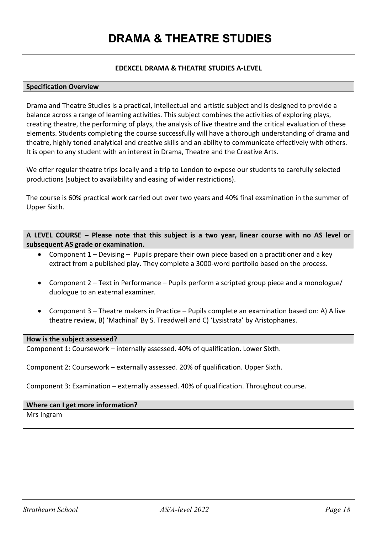# **DRAMA & THEATRE STUDIES**

# **EDEXCEL DRAMA & THEATRE STUDIES A-LEVEL**

#### **Specification Overview**

Drama and Theatre Studies is a practical, intellectual and artistic subject and is designed to provide a balance across a range of learning activities. This subject combines the activities of exploring plays, creating theatre, the performing of plays, the analysis of live theatre and the critical evaluation of these elements. Students completing the course successfully will have a thorough understanding of drama and theatre, highly toned analytical and creative skills and an ability to communicate effectively with others. It is open to any student with an interest in Drama, Theatre and the Creative Arts.

We offer regular theatre trips locally and a trip to London to expose our students to carefully selected productions (subject to availability and easing of wider restrictions).

The course is 60% practical work carried out over two years and 40% final examination in the summer of Upper Sixth.

**A LEVEL COURSE – Please note that this subject is a two year, linear course with no AS level or subsequent AS grade or examination.** 

- Component 1 Devising Pupils prepare their own piece based on a practitioner and a key extract from a published play. They complete a 3000-word portfolio based on the process.
- Component 2 Text in Performance Pupils perform a scripted group piece and a monologue/ duologue to an external examiner.
- Component 3 Theatre makers in Practice Pupils complete an examination based on: A) A live theatre review, B) 'Machinal' By S. Treadwell and C) 'Lysistrata' by Aristophanes.

#### **How is the subject assessed?**

Component 1: Coursework – internally assessed. 40% of qualification. Lower Sixth.

Component 2: Coursework – externally assessed. 20% of qualification. Upper Sixth.

Component 3: Examination – externally assessed. 40% of qualification. Throughout course.

#### **Where can I get more information?**

Mrs Ingram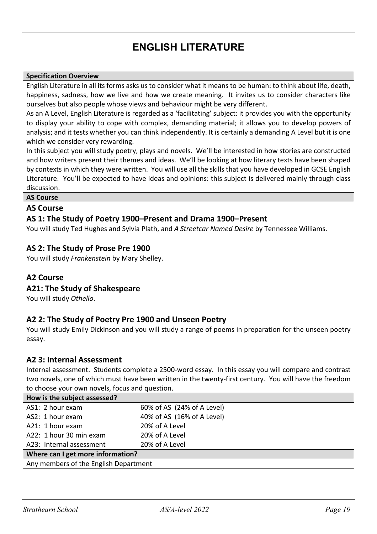# **ENGLISH LITERATURE**

# **Specification Overview**

English Literature in all its forms asks us to consider what it means to be human: to think about life, death, happiness, sadness, how we live and how we create meaning. It invites us to consider characters like ourselves but also people whose views and behaviour might be very different.

As an A Level, English Literature is regarded as a 'facilitating' subject: it provides you with the opportunity to display your ability to cope with complex, demanding material; it allows you to develop powers of analysis; and it tests whether you can think independently. It is certainly a demanding A Level but it is one which we consider very rewarding.

In this subject you will study poetry, plays and novels. We'll be interested in how stories are constructed and how writers present their themes and ideas. We'll be looking at how literary texts have been shaped by contexts in which they were written. You will use all the skills that you have developed in GCSE English Literature. You'll be expected to have ideas and opinions: this subject is delivered mainly through class discussion.

# **AS Course**

# **AS Course**

# **AS 1: The Study of Poetry 1900–Present and Drama 1900–Present**

You will study Ted Hughes and Sylvia Plath, and *A Streetcar Named Desire* by Tennessee Williams.

# **AS 2: The Study of Prose Pre 1900**

You will study *Frankenstein* by Mary Shelley.

# **A2 Course**

# **A21: The Study of Shakespeare**

You will study *Othello*.

# **A2 2: The Study of Poetry Pre 1900 and Unseen Poetry**

You will study Emily Dickinson and you will study a range of poems in preparation for the unseen poetry essay.

# **A2 3: Internal Assessment**

Internal assessment. Students complete a 2500-word essay. In this essay you will compare and contrast two novels, one of which must have been written in the twenty-first century. You will have the freedom to choose your own novels, focus and question.

| How is the subject assessed?          |                            |  |  |
|---------------------------------------|----------------------------|--|--|
| AS1: 2 hour exam                      | 60% of AS (24% of A Level) |  |  |
| AS2: 1 hour exam                      | 40% of AS (16% of A Level) |  |  |
| A21: 1 hour exam                      | 20% of A Level             |  |  |
| A22: 1 hour 30 min exam               | 20% of A Level             |  |  |
| A23: Internal assessment              | 20% of A Level             |  |  |
| Where can I get more information?     |                            |  |  |
| Any members of the English Department |                            |  |  |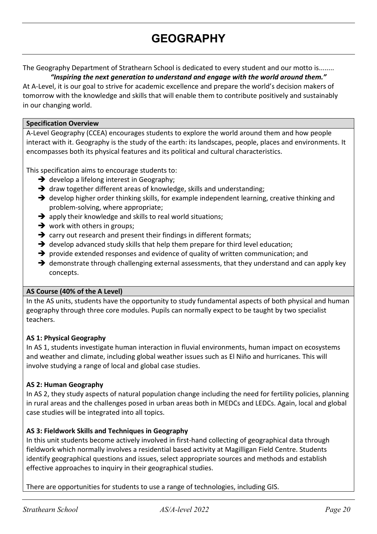# **GEOGRAPHY**

The Geography Department of Strathearn School is dedicated to every student and our motto is........

*"Inspiring the next generation to understand and engage with the world around them."* At A-Level, it is our goal to strive for academic excellence and prepare the world's decision makers of tomorrow with the knowledge and skills that will enable them to contribute positively and sustainably in our changing world.

# **Specification Overview**

A-Level Geography (CCEA) encourages students to explore the world around them and how people interact with it. Geography is the study of the earth: its landscapes, people, places and environments. It encompasses both its physical features and its political and cultural characteristics.

This specification aims to encourage students to:

- $\rightarrow$  develop a lifelong interest in Geography;
- $\rightarrow$  draw together different areas of knowledge, skills and understanding;
- $\rightarrow$  develop higher order thinking skills, for example independent learning, creative thinking and problem-solving, where appropriate;
- $\rightarrow$  apply their knowledge and skills to real world situations;
- $\rightarrow$  work with others in groups;
- $\rightarrow$  carry out research and present their findings in different formats;
- $\rightarrow$  develop advanced study skills that help them prepare for third level education;
- $\rightarrow$  provide extended responses and evidence of quality of written communication; and
- $\rightarrow$  demonstrate through challenging external assessments, that they understand and can apply key concepts.

# **AS Course (40% of the A Level)**

In the AS units, students have the opportunity to study fundamental aspects of both physical and human geography through three core modules. Pupils can normally expect to be taught by two specialist teachers.

# **AS 1: Physical Geography**

In AS 1, students investigate human interaction in fluvial environments, human impact on ecosystems and weather and climate, including global weather issues such as El Niño and hurricanes. This will involve studying a range of local and global case studies.

# **AS 2: Human Geography**

In AS 2, they study aspects of natural population change including the need for fertility policies, planning in rural areas and the challenges posed in urban areas both in MEDCs and LEDCs. Again, local and global case studies will be integrated into all topics.

# **AS 3: Fieldwork Skills and Techniques in Geography**

In this unit students become actively involved in first-hand collecting of geographical data through fieldwork which normally involves a residential based activity at Magilligan Field Centre. Students identify geographical questions and issues, select appropriate sources and methods and establish effective approaches to inquiry in their geographical studies.

There are opportunities for students to use a range of technologies, including GIS.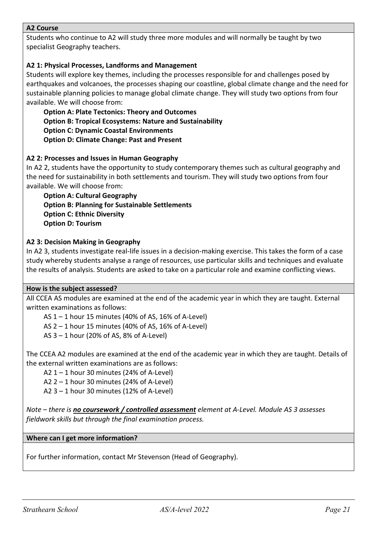# **A2 Course**

Students who continue to A2 will study three more modules and will normally be taught by two specialist Geography teachers.

# **A2 1: Physical Processes, Landforms and Management**

Students will explore key themes, including the processes responsible for and challenges posed by earthquakes and volcanoes, the processes shaping our coastline, global climate change and the need for sustainable planning policies to manage global climate change. They will study two options from four available. We will choose from:

 **Option A: Plate Tectonics: Theory and Outcomes Option B: Tropical Ecosystems: Nature and Sustainability Option C: Dynamic Coastal Environments Option D: Climate Change: Past and Present**

# **A2 2: Processes and Issues in Human Geography**

In A2 2, students have the opportunity to study contemporary themes such as cultural geography and the need for sustainability in both settlements and tourism. They will study two options from four available. We will choose from:

 **Option A: Cultural Geography Option B: Planning for Sustainable Settlements Option C: Ethnic Diversity Option D: Tourism**

# **A2 3: Decision Making in Geography**

In A2 3, students investigate real-life issues in a decision-making exercise. This takes the form of a case study whereby students analyse a range of resources, use particular skills and techniques and evaluate the results of analysis. Students are asked to take on a particular role and examine conflicting views.

# **How is the subject assessed?**

All CCEA AS modules are examined at the end of the academic year in which they are taught. External written examinations as follows:

AS  $1 - 1$  hour 15 minutes (40% of AS, 16% of A-Level)

AS 2 – 1 hour 15 minutes (40% of AS, 16% of A-Level)

AS  $3 - 1$  hour (20% of AS, 8% of A-Level)

The CCEA A2 modules are examined at the end of the academic year in which they are taught. Details of the external written examinations are as follows:

A2  $1 - 1$  hour 30 minutes (24% of A-Level)

A2  $2 - 1$  hour 30 minutes (24% of A-Level)

A2 3 – 1 hour 30 minutes (12% of A-Level)

*Note – there is no coursework / controlled assessment element at A-Level. Module AS 3 assesses fieldwork skills but through the final examination process.* 

**Where can I get more information?**

For further information, contact Mr Stevenson (Head of Geography).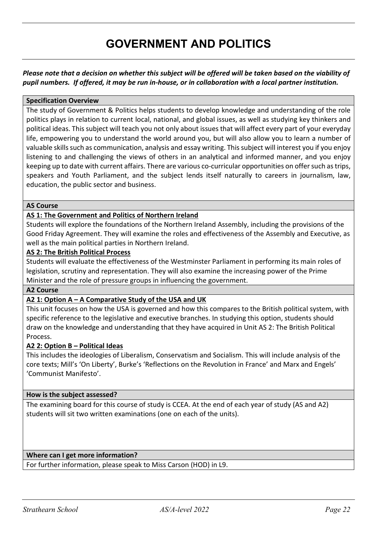# **GOVERNMENT AND POLITICS**

*Please note that a decision on whether this subject will be offered will be taken based on the viability of pupil numbers. If offered, it may be run in-house, or in collaboration with a local partner institution.*

#### **Specification Overview**

The study of Government & Politics helps students to develop knowledge and understanding of the role politics plays in relation to current local, national, and global issues, as well as studying key thinkers and political ideas. This subject will teach you not only about issues that will affect every part of your everyday life, empowering you to understand the world around you, but will also allow you to learn a number of valuable skills such as communication, analysis and essay writing. This subject will interest you if you enjoy listening to and challenging the views of others in an analytical and informed manner, and you enjoy keeping up to date with current affairs. There are various co-curricular opportunities on offer such as trips, speakers and Youth Parliament, and the subject lends itself naturally to careers in journalism, law, education, the public sector and business.

#### **AS Course**

# **AS 1: The Government and Politics of Northern Ireland**

Students will explore the foundations of the Northern Ireland Assembly, including the provisions of the Good Friday Agreement. They will examine the roles and effectiveness of the Assembly and Executive, as well as the main political parties in Northern Ireland.

#### **AS 2: The British Political Process**

Students will evaluate the effectiveness of the Westminster Parliament in performing its main roles of legislation, scrutiny and representation. They will also examine the increasing power of the Prime Minister and the role of pressure groups in influencing the government.

#### **A2 Course**

# **A2 1: Option A – A Comparative Study of the USA and UK**

This unit focuses on how the USA is governed and how this compares to the British political system, with specific reference to the legislative and executive branches. In studying this option, students should draw on the knowledge and understanding that they have acquired in Unit AS 2: The British Political Process.

# **A2 2: Option B – Political Ideas**

This includes the ideologies of Liberalism, Conservatism and Socialism. This will include analysis of the core texts; Mill's 'On Liberty', Burke's 'Reflections on the Revolution in France' and Marx and Engels' 'Communist Manifesto'.

#### **How is the subject assessed?**

The examining board for this course of study is CCEA. At the end of each year of study (AS and A2) students will sit two written examinations (one on each of the units).

# **Where can I get more information?**

For further information, please speak to Miss Carson (HOD) in L9.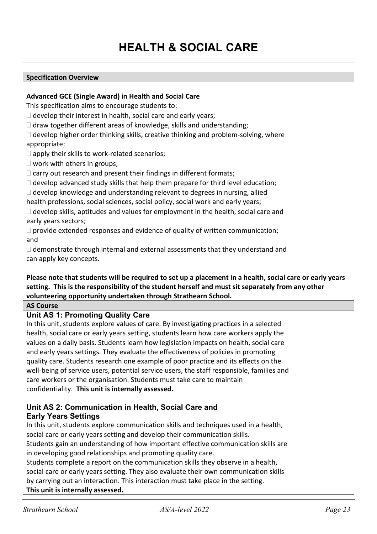# **HEALTH & SOCIAL CARE**

# **Specification Overview**

#### **Advanced GCE (Single Award) in Health and Social Care**

This specification aims to encourage students to:

 $\Box$  develop their interest in health, social care and early years;

 $\Box$  draw together different areas of knowledge, skills and understanding;

 $\Box$  develop higher order thinking skills, creative thinking and problem-solving, where appropriate;

 $\Box$  apply their skills to work-related scenarios;

 $\Box$  work with others in groups;

 $\Box$  carry out research and present their findings in different formats;

 $\Box$  develop advanced study skills that help them prepare for third level education;

 $\Box$  develop knowledge and understanding relevant to degrees in nursing, allied

health professions, social sciences, social policy, social work and early years;

 $\Box$  develop skills, aptitudes and values for employment in the health, social care and early years sectors;

 $\square$  provide extended responses and evidence of quality of written communication; and

 $\Box$  demonstrate through internal and external assessments that they understand and can apply key concepts.

# **Please note that students will be required to set up a placement in a health, social care or early years setting. This is the responsibility of the student herself and must sit separately from any other volunteering opportunity undertaken through Strathearn School.**

**AS Course**

# **Unit AS 1: Promoting Quality Care**

In this unit, students explore values of care. By investigating practices in a selected health, social care or early years setting, students learn how care workers apply the values on a daily basis. Students learn how legislation impacts on health, social care and early years settings. They evaluate the effectiveness of policies in promoting quality care. Students research one example of poor practice and its effects on the well-being of service users, potential service users, the staff responsible, families and care workers or the organisation. Students must take care to maintain confidentiality. **This unit is internally assessed.**

# **Unit AS 2: Communication in Health, Social Care and Early Years Settings**

In this unit, students explore communication skills and techniques used in a health, social care or early years setting and develop their communication skills. Students gain an understanding of how important effective communication skills are in developing good relationships and promoting quality care. Students complete a report on the communication skills they observe in a health, social care or early years setting. They also evaluate their own communication skills by carrying out an interaction. This interaction must take place in the setting. **This unit is internally assessed.**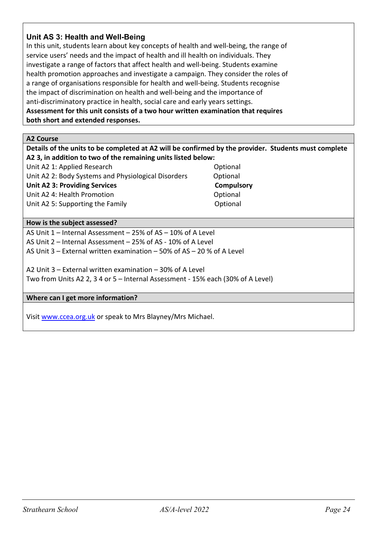# **Unit AS 3: Health and Well-Being**

In this unit, students learn about key concepts of health and well-being, the range of service users' needs and the impact of health and ill health on individuals. They investigate a range of factors that affect health and well-being. Students examine health promotion approaches and investigate a campaign. They consider the roles of a range of organisations responsible for health and well-being. Students recognise the impact of discrimination on health and well-being and the importance of anti-discriminatory practice in health, social care and early years settings. **Assessment for this unit consists of a two hour written examination that requires both short and extended responses.**

**A2 Course**

**Details of the units to be completed at A2 will be confirmed by the provider. Students must complete A2 3, in addition to two of the remaining units listed below:**

Unit A2 1: Applied Research **Optional** Unit A2 2: Body Systems and Physiological Disorders Optional **Unit A2 3: Providing Services Compulsory** 

Unit A2 4: Health Promotion **Optional** Unit A2 5: Supporting the Family Changes of Capital Changes Continued At a Changes Optional

# **How is the subject assessed?**

AS Unit 1 – Internal Assessment – 25% of AS – 10% of A Level AS Unit 2 – Internal Assessment – 25% of AS - 10% of A Level AS Unit 3 – External written examination – 50% of AS – 20 % of A Level

A2 Unit 3 – External written examination – 30% of A Level Two from Units A2 2, 3 4 or 5 – Internal Assessment - 15% each (30% of A Level)

# **Where can I get more information?**

Visit [www.ccea.org.uk](http://www.ccea.org.uk/) or speak to Mrs Blayney/Mrs Michael.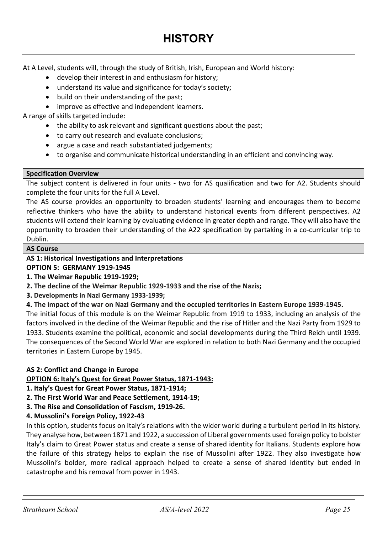# **HISTORY**

At A Level, students will, through the study of British, Irish, European and World history:

- develop their interest in and enthusiasm for history;
- understand its value and significance for today's society;
- build on their understanding of the past;
- improve as effective and independent learners.

A range of skills targeted include:

- the ability to ask relevant and significant questions about the past;
- to carry out research and evaluate conclusions;
- argue a case and reach substantiated judgements;
- to organise and communicate historical understanding in an efficient and convincing way.

#### **Specification Overview**

The subject content is delivered in four units - two for AS qualification and two for A2. Students should complete the four units for the full A Level.

The AS course provides an opportunity to broaden students' learning and encourages them to become reflective thinkers who have the ability to understand historical events from different perspectives. A2 students will extend their learning by evaluating evidence in greater depth and range. They will also have the opportunity to broaden their understanding of the A22 specification by partaking in a co-curricular trip to Dublin.

# **AS Course**

# **AS 1: Historical Investigations and Interpretations**

**OPTION 5: GERMANY 1919-1945**

**1. The Weimar Republic 1919-1929;**

**2. The decline of the Weimar Republic 1929-1933 and the rise of the Nazis;**

**3. Developments in Nazi Germany 1933-1939;**

**4. The impact of the war on Nazi Germany and the occupied territories in Eastern Europe 1939-1945.**

The initial focus of this module is on the Weimar Republic from 1919 to 1933, including an analysis of the factors involved in the decline of the Weimar Republic and the rise of Hitler and the Nazi Party from 1929 to 1933. Students examine the political, economic and social developments during the Third Reich until 1939. The consequences of the Second World War are explored in relation to both Nazi Germany and the occupied territories in Eastern Europe by 1945.

# **AS 2: Conflict and Change in Europe**

**OPTION 6: Italy's Quest for Great Power Status, 1871-1943:**

**1. Italy's Quest for Great Power Status, 1871-1914;**

**2. The First World War and Peace Settlement, 1914-19;**

**3. The Rise and Consolidation of Fascism, 1919-26.**

**4. Mussolini's Foreign Policy, 1922-43**

In this option, students focus on Italy's relations with the wider world during a turbulent period in its history. They analyse how, between 1871 and 1922, a succession of Liberal governments used foreign policy to bolster Italy's claim to Great Power status and create a sense of shared identity for Italians. Students explore how the failure of this strategy helps to explain the rise of Mussolini after 1922. They also investigate how Mussolini's bolder, more radical approach helped to create a sense of shared identity but ended in catastrophe and his removal from power in 1943.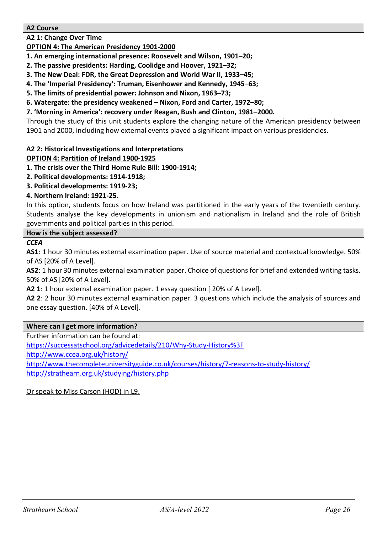# **A2 Course**

**A2 1: Change Over Time**

**OPTION 4: The American Presidency 1901-2000**

**1. An emerging international presence: Roosevelt and Wilson, 1901–20;**

**2. The passive presidents: Harding, Coolidge and Hoover, 1921–32;**

**3. The New Deal: FDR, the Great Depression and World War II, 1933–45;**

**4. The 'Imperial Presidency': Truman, Eisenhower and Kennedy, 1945–63;** 

**5. The limits of presidential power: Johnson and Nixon, 1963–73;**

**6. Watergate: the presidency weakened – Nixon, Ford and Carter, 1972–80;** 

**7. 'Morning in America': recovery under Reagan, Bush and Clinton, 1981–2000.**

Through the study of this unit students explore the changing nature of the American presidency between 1901 and 2000, including how external events played a significant impact on various presidencies.

**A2 2: Historical Investigations and Interpretations**

# **OPTION 4: Partition of Ireland 1900-1925**

**1. The crisis over the Third Home Rule Bill: 1900-1914;**

**2. Political developments: 1914-1918;**

**3. Political developments: 1919-23;**

# **4. Northern Ireland: 1921-25.**

In this option, students focus on how Ireland was partitioned in the early years of the twentieth century. Students analyse the key developments in unionism and nationalism in Ireland and the role of British governments and political parties in this period.

# **How is the subject assessed?**

*CCEA*

**AS1**: 1 hour 30 minutes external examination paper. Use of source material and contextual knowledge. 50% of AS [20% of A Level].

**AS2**: 1 hour 30 minutes external examination paper. Choice of questions for brief and extended writing tasks. 50% of AS [20% of A Level].

**A2 1**: 1 hour external examination paper. 1 essay question [ 20% of A Level].

**A2 2**: 2 hour 30 minutes external examination paper. 3 questions which include the analysis of sources and one essay question. [40% of A Level].

# **Where can I get more information?**

Further information can be found at:

<https://successatschool.org/advicedetails/210/Why-Study-History%3F>

<http://www.ccea.org.uk/history/>

<http://www.thecompleteuniversityguide.co.uk/courses/history/7-reasons-to-study-history/> <http://strathearn.org.uk/studying/history.php>

Or speak to Miss Carson (HOD) in L9.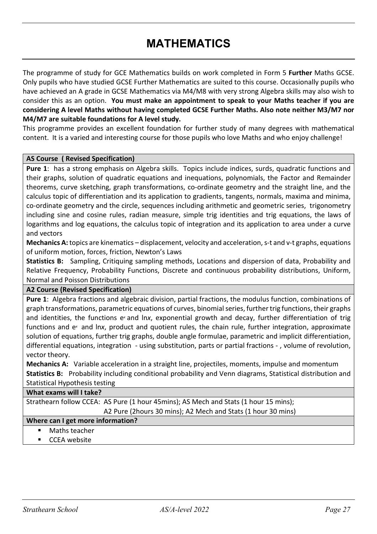# **MATHEMATICS**

The programme of study for GCE Mathematics builds on work completed in Form 5 **Further** Maths GCSE. Only pupils who have studied GCSE Further Mathematics are suited to this course. Occasionally pupils who have achieved an A grade in GCSE Mathematics via M4/M8 with very strong Algebra skills may also wish to consider this as an option. **You must make an appointment to speak to your Maths teacher if you are considering A level Maths without having completed GCSE Further Maths. Also note neither M3/M7 nor M4/M7 are suitable foundations for A level study.**

This programme provides an excellent foundation for further study of many degrees with mathematical content. It is a varied and interesting course for those pupils who love Maths and who enjoy challenge!

#### **AS Course ( Revised Specification)**

**Pure 1**: has a strong emphasis on Algebra skills. Topics include indices, surds, quadratic functions and their graphs, solution of quadratic equations and inequations, polynomials, the Factor and Remainder theorems, curve sketching, graph transformations, co-ordinate geometry and the straight line, and the calculus topic of differentiation and its application to gradients, tangents, normals, maxima and minima, co-ordinate geometry and the circle, sequences including arithmetic and geometric series, trigonometry including sine and cosine rules, radian measure, simple trig identities and trig equations, the laws of logarithms and log equations, the calculus topic of integration and its application to area under a curve and vectors

**Mechanics A:** topics are kinematics – displacement, velocity and acceleration, s-t and v-t graphs, equations of uniform motion, forces, friction, Newton's Laws

**Statistics B:** Sampling, Critiquing sampling methods, Locations and dispersion of data, Probability and Relative Frequency, Probability Functions, Discrete and continuous probability distributions, Uniform, Normal and Poisson Distributions

# **A2 Course (Revised Specification)**

**Pure 1**: Algebra fractions and algebraic division, partial fractions, the modulus function, combinations of graph transformations, parametric equations of curves, binomial series, further trig functions, their graphs and identities, the functions e*x* and ln*x*, exponential growth and decay, further differentiation of trig functions and e*x* and ln*x*, product and quotient rules, the chain rule, further integration, approximate solution of equations, further trig graphs, double angle formulae, parametric and implicit differentiation, differential equations, integration - using substitution, parts or partial fractions - , volume of revolution, vector theory.

**Mechanics A:** Variable acceleration in a straight line, projectiles, moments, impulse and momentum **Statistics B:** Probability including conditional probability and Venn diagrams, Statistical distribution and Statistical Hypothesis testing

#### **What exams will I take?**

Strathearn follow CCEA: AS Pure (1 hour 45mins); AS Mech and Stats (1 hour 15 mins); A2 Pure (2hours 30 mins); A2 Mech and Stats (1 hour 30 mins)

# **Where can I get more information?**

- Maths teacher
- **CCEA** website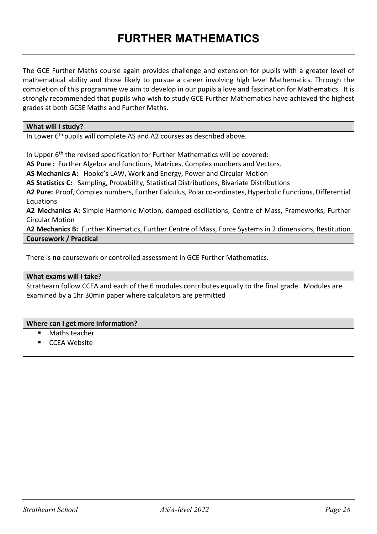# **FURTHER MATHEMATICS**

The GCE Further Maths course again provides challenge and extension for pupils with a greater level of mathematical ability and those likely to pursue a career involving high level Mathematics. Through the completion of this programme we aim to develop in our pupils a love and fascination for Mathematics. It is strongly recommended that pupils who wish to study GCE Further Mathematics have achieved the highest grades at both GCSE Maths and Further Maths.

#### **What will I study?**

In Lower 6<sup>th</sup> pupils will complete AS and A2 courses as described above.

In Upper  $6<sup>th</sup>$  the revised specification for Further Mathematics will be covered:

**AS Pure :** Further Algebra and functions, Matrices, Complex numbers and Vectors.

**AS Mechanics A:** Hooke's LAW, Work and Energy, Power and Circular Motion

**AS Statistics C:** Sampling, Probability, Statistical Distributions, Bivariate Distributions

**A2 Pure:** Proof, Complex numbers, Further Calculus, Polar co-ordinates, Hyperbolic Functions, Differential Equations

**A2 Mechanics A:** Simple Harmonic Motion, damped oscillations, Centre of Mass, Frameworks, Further Circular Motion

**A2 Mechanics B:** Further Kinematics, Further Centre of Mass, Force Systems in 2 dimensions, Restitution **Coursework / Practical**

There is **no** coursework or controlled assessment in GCE Further Mathematics.

#### **What exams will I take?**

Strathearn follow CCEA and each of the 6 modules contributes equally to the final grade. Modules are examined by a 1hr 30min paper where calculators are permitted

#### **Where can I get more information?**

- Maths teacher
- CCEA Website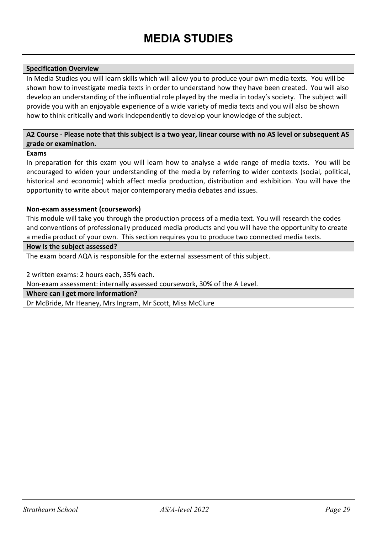# **MEDIA STUDIES**

# **Specification Overview**

In Media Studies you will learn skills which will allow you to produce your own media texts. You will be shown how to investigate media texts in order to understand how they have been created. You will also develop an understanding of the influential role played by the media in today's society. The subject will provide you with an enjoyable experience of a wide variety of media texts and you will also be shown how to think critically and work independently to develop your knowledge of the subject.

# **A2 Course - Please note that this subject is a two year, linear course with no AS level or subsequent AS grade or examination.**

# **Exams**

In preparation for this exam you will learn how to analyse a wide range of media texts. You will be encouraged to widen your understanding of the media by referring to wider contexts (social, political, historical and economic) which affect media production, distribution and exhibition. You will have the opportunity to write about major contemporary media debates and issues.

# **Non-exam assessment (coursework)**

This module will take you through the production process of a media text. You will research the codes and conventions of professionally produced media products and you will have the opportunity to create a media product of your own. This section requires you to produce two connected media texts.

#### **How is the subject assessed?**

The exam board AQA is responsible for the external assessment of this subject.

2 written exams: 2 hours each, 35% each.

Non-exam assessment: internally assessed coursework, 30% of the A Level.

**Where can I get more information?**

Dr McBride, Mr Heaney, Mrs Ingram, Mr Scott, Miss McClure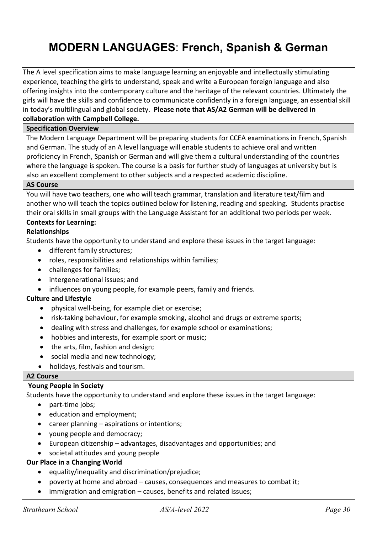# **MODERN LANGUAGES**: **French, Spanish & German**

The A level specification aims to make language learning an enjoyable and intellectually stimulating experience, teaching the girls to understand, speak and write a European foreign language and also offering insights into the contemporary culture and the heritage of the relevant countries. Ultimately the girls will have the skills and confidence to communicate confidently in a foreign language, an essential skill in today's multilingual and global society. **Please note that AS/A2 German will be delivered in collaboration with Campbell College.**

# **Specification Overview**

The Modern Language Department will be preparing students for CCEA examinations in French, Spanish and German. The study of an A level language will enable students to achieve oral and written proficiency in French, Spanish or German and will give them a cultural understanding of the countries where the language is spoken. The course is a basis for further study of languages at university but is also an excellent complement to other subjects and a respected academic discipline.

# **AS Course**

You will have two teachers, one who will teach grammar, translation and literature text/film and another who will teach the topics outlined below for listening, reading and speaking. Students practise their oral skills in small groups with the Language Assistant for an additional two periods per week. **Contexts for Learning:**

# **Relationships**

Students have the opportunity to understand and explore these issues in the target language:

- different family structures;
- roles, responsibilities and relationships within families;
- challenges for families;
- intergenerational issues; and
- influences on young people, for example peers, family and friends.

# **Culture and Lifestyle**

- physical well-being, for example diet or exercise;
- risk-taking behaviour, for example smoking, alcohol and drugs or extreme sports;
- dealing with stress and challenges, for example school or examinations;
- hobbies and interests, for example sport or music;
- the arts, film, fashion and design;
- social media and new technology;
- holidays, festivals and tourism.

# **A2 Course**

# **Young People in Society**

Students have the opportunity to understand and explore these issues in the target language:

- part-time jobs;
- education and employment;
- career planning aspirations or intentions;
- young people and democracy;
- European citizenship advantages, disadvantages and opportunities; and
- societal attitudes and young people

# **Our Place in a Changing World**

- equality/inequality and discrimination/prejudice;
- poverty at home and abroad causes, consequences and measures to combat it;
- immigration and emigration causes, benefits and related issues;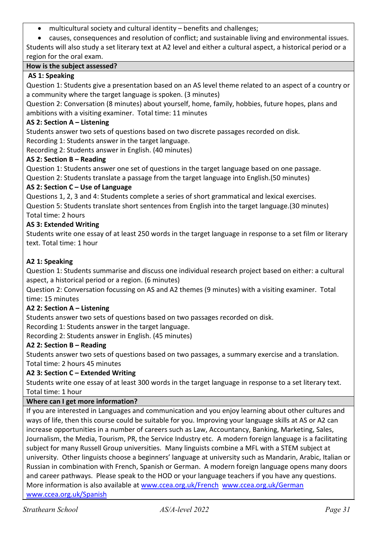• multicultural society and cultural identity – benefits and challenges;

• causes, consequences and resolution of conflict; and sustainable living and environmental issues. Students will also study a set literary text at A2 level and either a cultural aspect, a historical period or a region for the oral exam.

# **How is the subject assessed?**

# **AS 1: Speaking**

Question 1: Students give a presentation based on an AS level theme related to an aspect of a country or a community where the target language is spoken. (3 minutes)

Question 2: Conversation (8 minutes) about yourself, home, family, hobbies, future hopes, plans and ambitions with a visiting examiner. Total time: 11 minutes

# **AS 2: Section A – Listening**

Students answer two sets of questions based on two discrete passages recorded on disk. Recording 1: Students answer in the target language.

Recording 2: Students answer in English. (40 minutes)

# **AS 2: Section B – Reading**

Question 1: Students answer one set of questions in the target language based on one passage. Question 2: Students translate a passage from the target language into English.(50 minutes)

# **AS 2: Section C – Use of Language**

Questions 1, 2, 3 and 4: Students complete a series of short grammatical and lexical exercises. Question 5: Students translate short sentences from English into the target language.(30 minutes) Total time: 2 hours

# **AS 3: Extended Writing**

Students write one essay of at least 250 words in the target language in response to a set film or literary text. Total time: 1 hour

# **A2 1: Speaking**

Question 1: Students summarise and discuss one individual research project based on either: a cultural aspect, a historical period or a region. (6 minutes)

Question 2: Conversation focussing on AS and A2 themes (9 minutes) with a visiting examiner. Total time: 15 minutes

# **A2 2: Section A – Listening**

Students answer two sets of questions based on two passages recorded on disk.

Recording 1: Students answer in the target language.

Recording 2: Students answer in English. (45 minutes)

# **A2 2: Section B – Reading**

Students answer two sets of questions based on two passages, a summary exercise and a translation. Total time: 2 hours 45 minutes

# **A2 3: Section C – Extended Writing**

Students write one essay of at least 300 words in the target language in response to a set literary text. Total time: 1 hour

# **Where can I get more information?**

If you are interested in Languages and communication and you enjoy learning about other cultures and ways of life, then this course could be suitable for you. Improving your language skills at AS or A2 can increase opportunities in a number of careers such as Law, Accountancy, Banking, Marketing, Sales, Journalism, the Media, Tourism, PR, the Service Industry etc. A modern foreign language is a facilitating subject for many Russell Group universities. Many linguists combine a MFL with a STEM subject at university. Other linguists choose a beginners' language at university such as Mandarin, Arabic, Italian or Russian in combination with French, Spanish or German. A modern foreign language opens many doors and career pathways. Please speak to the HOD or your language teachers if you have any questions. More information is also available at [www.ccea.org.uk/French](http://www.ccea.org.uk/French) www.ccea.org.uk/German www.ccea.org.uk/Spanish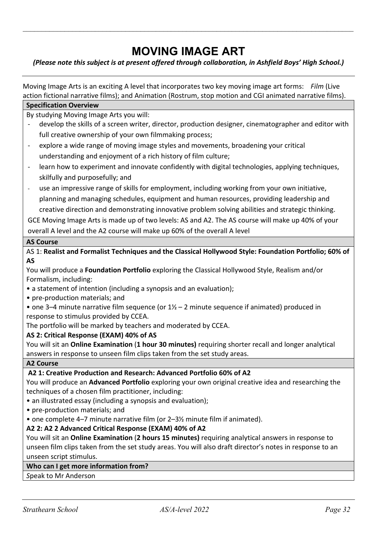# **MOVING IMAGE ART**

\_\_\_\_\_\_\_\_\_\_\_\_\_\_\_\_\_\_\_\_\_\_\_\_\_\_\_\_\_\_\_\_\_\_\_\_\_\_\_\_\_\_\_\_\_\_\_\_\_\_\_\_\_\_\_\_\_\_\_\_\_\_\_\_\_\_\_\_\_\_\_\_\_\_\_\_\_\_\_\_\_\_\_\_\_\_\_

# *(Please note this subject is at present offered through collaboration, in Ashfield Boys' High School.)*

Moving Image Arts is an exciting A level that incorporates two key moving image art forms: *Film* (Live action fictional narrative films); and Animation (Rostrum, stop motion and CGI animated narrative films). **Specification Overview** By studying Moving Image Arts you will: develop the skills of a screen writer, director, production designer, cinematographer and editor with full creative ownership of your own filmmaking process; - explore a wide range of moving image styles and movements, broadening your critical understanding and enjoyment of a rich history of film culture; - learn how to experiment and innovate confidently with digital technologies, applying techniques, skilfully and purposefully; and use an impressive range of skills for employment, including working from your own initiative, planning and managing schedules, equipment and human resources, providing leadership and creative direction and demonstrating innovative problem solving abilities and strategic thinking. GCE Moving Image Arts is made up of two levels: AS and A2. The AS course will make up 40% of your overall A level and the A2 course will make up 60% of the overall A level **AS Course** AS 1: **Realist and Formalist Techniques and the Classical Hollywood Style: Foundation Portfolio; 60% of AS** You will produce a **Foundation Portfolio** exploring the Classical Hollywood Style, Realism and/or Formalism, including: • a statement of intention (including a synopsis and an evaluation); • pre-production materials; and • one 3–4 minute narrative film sequence (or  $1\frac{1}{2}$  – 2 minute sequence if animated) produced in response to stimulus provided by CCEA. The portfolio will be marked by teachers and moderated by CCEA. **AS 2: Critical Response (EXAM) 40% of AS** You will sit an **Online Examination** (**1 hour 30 minutes)** requiring shorter recall and longer analytical answers in response to unseen film clips taken from the set study areas. **A2 Course A2 1: Creative Production and Research: Advanced Portfolio 60% of A2** You will produce an **Advanced Portfolio** exploring your own original creative idea and researching the techniques of a chosen film practitioner, including: • an illustrated essay (including a synopsis and evaluation); • pre-production materials; and • one complete 4–7 minute narrative film (or 2–3½ minute film if animated). **A2 2: A2 2 Advanced Critical Response (EXAM) 40% of A2** You will sit an **Online Examination** (**2 hours 15 minutes)** requiring analytical answers in response to unseen film clips taken from the set study areas. You will also draft director's notes in response to an unseen script stimulus. **Who can I get more information from?** *S*peak to Mr Anderson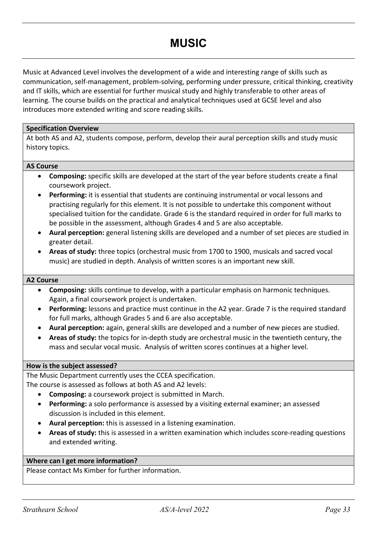# **MUSIC**

Music at Advanced Level involves the development of a wide and interesting range of skills such as communication, self-management, problem-solving, performing under pressure, critical thinking, creativity and IT skills, which are essential for further musical study and highly transferable to other areas of learning. The course builds on the practical and analytical techniques used at GCSE level and also introduces more extended writing and score reading skills.

# **Specification Overview**

At both AS and A2, students compose, perform, develop their aural perception skills and study music history topics.

#### **AS Course**

- **Composing:** specific skills are developed at the start of the year before students create a final coursework project.
- **Performing:** it is essential that students are continuing instrumental or vocal lessons and practising regularly for this element. It is not possible to undertake this component without specialised tuition for the candidate. Grade 6 is the standard required in order for full marks to be possible in the assessment, although Grades 4 and 5 are also acceptable.
- **Aural perception:** general listening skills are developed and a number of set pieces are studied in greater detail.
- **Areas of study:** three topics (orchestral music from 1700 to 1900, musicals and sacred vocal music) are studied in depth. Analysis of written scores is an important new skill.

#### **A2 Course**

- **Composing:** skills continue to develop, with a particular emphasis on harmonic techniques. Again, a final coursework project is undertaken.
- **Performing:** lessons and practice must continue in the A2 year. Grade 7 is the required standard for full marks, although Grades 5 and 6 are also acceptable.
- **Aural perception:** again, general skills are developed and a number of new pieces are studied.
- **Areas of study:** the topics for in-depth study are orchestral music in the twentieth century, the mass and secular vocal music. Analysis of written scores continues at a higher level.

# **How is the subject assessed?**

The Music Department currently uses the CCEA specification. The course is assessed as follows at both AS and A2 levels:

- **Composing:** a coursework project is submitted in March.
- **Performing:** a solo performance is assessed by a visiting external examiner; an assessed discussion is included in this element.
- **Aural perception:** this is assessed in a listening examination.
- **Areas of study:** this is assessed in a written examination which includes score-reading questions and extended writing.

# **Where can I get more information?**

Please contact Ms Kimber for further information.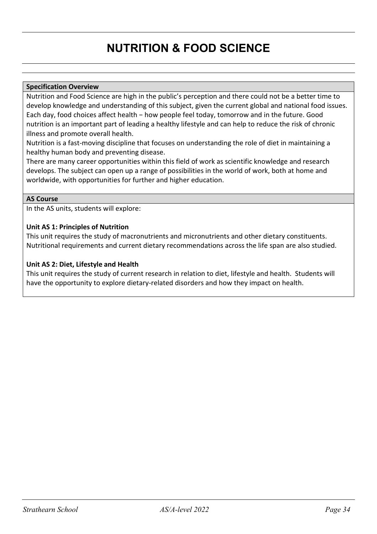# **NUTRITION & FOOD SCIENCE**

# **Specification Overview**

Nutrition and Food Science are high in the public's perception and there could not be a better time to develop knowledge and understanding of this subject, given the current global and national food issues. Each day, food choices affect health − how people feel today, tomorrow and in the future. Good nutrition is an important part of leading a healthy lifestyle and can help to reduce the risk of chronic illness and promote overall health.

Nutrition is a fast-moving discipline that focuses on understanding the role of diet in maintaining a healthy human body and preventing disease.

There are many career opportunities within this field of work as scientific knowledge and research develops. The subject can open up a range of possibilities in the world of work, both at home and worldwide, with opportunities for further and higher education.

#### **AS Course**

In the AS units, students will explore:

# **Unit AS 1: Principles of Nutrition**

This unit requires the study of macronutrients and micronutrients and other dietary constituents. Nutritional requirements and current dietary recommendations across the life span are also studied.

# **Unit AS 2: Diet, Lifestyle and Health**

This unit requires the study of current research in relation to diet, lifestyle and health. Students will have the opportunity to explore dietary-related disorders and how they impact on health.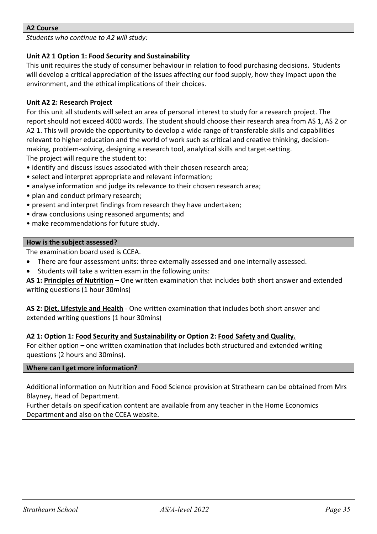# **A2 Course**

*Students who continue to A2 will study:*

# **Unit A2 1 Option 1: Food Security and Sustainability**

This unit requires the study of consumer behaviour in relation to food purchasing decisions. Students will develop a critical appreciation of the issues affecting our food supply, how they impact upon the environment, and the ethical implications of their choices.

# **Unit A2 2: Research Project**

For this unit all students will select an area of personal interest to study for a research project. The report should not exceed 4000 words. The student should choose their research area from AS 1, AS 2 or A2 1. This will provide the opportunity to develop a wide range of transferable skills and capabilities relevant to higher education and the world of work such as critical and creative thinking, decisionmaking, problem-solving, designing a research tool, analytical skills and target-setting. The project will require the student to:

- identify and discuss issues associated with their chosen research area;
- select and interpret appropriate and relevant information;
- analyse information and judge its relevance to their chosen research area;
- plan and conduct primary research;
- present and interpret findings from research they have undertaken;
- draw conclusions using reasoned arguments; and
- make recommendations for future study.

#### **How is the subject assessed?**

The examination board used is CCEA.

- There are four assessment units: three externally assessed and one internally assessed.
- Students will take a written exam in the following units:

**AS 1: Principles of Nutrition –** One written examination that includes both short answer and extended writing questions (1 hour 30mins)

**AS 2: Diet, Lifestyle and Health** - One written examination that includes both short answer and extended writing questions (1 hour 30mins)

# **A2 1: Option 1: Food Security and Sustainability or Option 2: Food Safety and Quality.**

For either option **–** one written examination that includes both structured and extended writing questions (2 hours and 30mins).

# **Where can I get more information?**

Additional information on Nutrition and Food Science provision at Strathearn can be obtained from Mrs Blayney, Head of Department.

Further details on specification content are available from any teacher in the Home Economics Department and also on the CCEA website.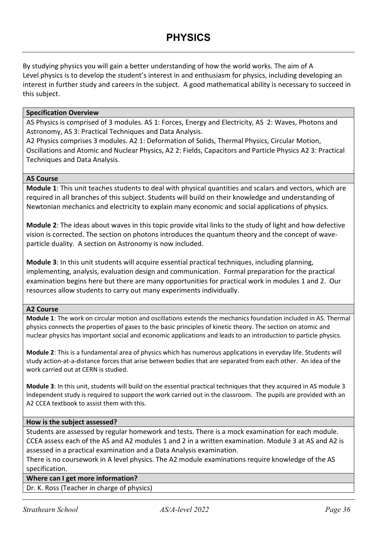# **PHYSICS**

By studying physics you will gain a better understanding of how the world works. The aim of A Level physics is to develop the student's interest in and enthusiasm for physics, including developing an interest in further study and careers in the subject. A good mathematical ability is necessary to succeed in this subject.

# **Specification Overview**

AS Physics is comprised of 3 modules. AS 1: Forces, Energy and Electricity, AS 2: Waves, Photons and Astronomy, AS 3: Practical Techniques and Data Analysis.

A2 Physics comprises 3 modules. A2 1: Deformation of Solids, Thermal Physics, Circular Motion, Oscillations and Atomic and Nuclear Physics, A2 2: Fields, Capacitors and Particle Physics A2 3: Practical Techniques and Data Analysis.

# **AS Course**

**Module 1**: This unit teaches students to deal with physical quantities and scalars and vectors, which are required in all branches of this subject. Students will build on their knowledge and understanding of Newtonian mechanics and electricity to explain many economic and social applications of physics.

**Module 2**: The ideas about waves in this topic provide vital links to the study of light and how defective vision is corrected. The section on photons introduces the quantum theory and the concept of waveparticle duality. A section on Astronomy is now included.

**Module 3**: In this unit students will acquire essential practical techniques, including planning, implementing, analysis, evaluation design and communication. Formal preparation for the practical examination begins here but there are many opportunities for practical work in modules 1 and 2. Our resources allow students to carry out many experiments individually.

# **A2 Course**

**Module 1**: The work on circular motion and oscillations extends the mechanics foundation included in AS. Thermal physics connects the properties of gases to the basic principles of kinetic theory. The section on atomic and nuclear physics has important social and economic applications and leads to an introduction to particle physics.

**Module 2**: This is a fundamental area of physics which has numerous applications in everyday life. Students will study action-at-a-distance forces that arise between bodies that are separated from each other. An idea of the work carried out at CERN is studied.

**Module 3**: In this unit, students will build on the essential practical techniques that they acquired in AS module 3 Independent study is required to support the work carried out in the classroom. The pupils are provided with an A2 CCEA textbook to assist them with this.

# **How is the subject assessed?**

Students are assessed by regular homework and tests. There is a mock examination for each module. CCEA assess each of the AS and A2 modules 1 and 2 in a written examination. Module 3 at AS and A2 is assessed in a practical examination and a Data Analysis examination.

There is no coursework in A level physics. The A2 module examinations require knowledge of the AS specification.

# **Where can I get more information?**

Dr. K. Ross (Teacher in charge of physics)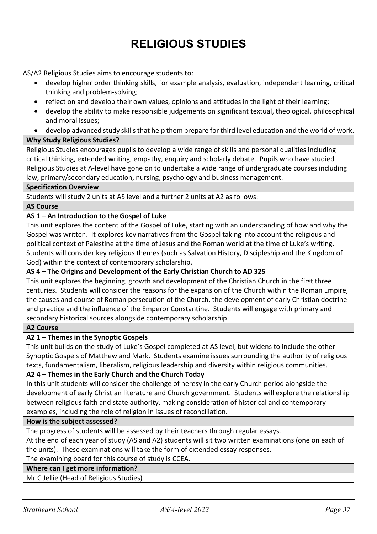# **RELIGIOUS STUDIES**

AS/A2 Religious Studies aims to encourage students to:

- develop higher order thinking skills, for example analysis, evaluation, independent learning, critical thinking and problem-solving;
- reflect on and develop their own values, opinions and attitudes in the light of their learning;
- develop the ability to make responsible judgements on significant textual, theological, philosophical and moral issues;
- develop advanced study skills that help them prepare for third level education and the world of work.

# **Why Study Religious Studies?**

Religious Studies encourages pupils to develop a wide range of skills and personal qualities including critical thinking, extended writing, empathy, enquiry and scholarly debate. Pupils who have studied Religious Studies at A-level have gone on to undertake a wide range of undergraduate courses including law, primary/secondary education, nursing, psychology and business management.

# **Specification Overview**

Students will study 2 units at AS level and a further 2 units at A2 as follows:

# **AS Course**

# **AS 1 – An Introduction to the Gospel of Luke**

This unit explores the content of the Gospel of Luke, starting with an understanding of how and why the Gospel was written. It explores key narratives from the Gospel taking into account the religious and political context of Palestine at the time of Jesus and the Roman world at the time of Luke's writing. Students will consider key religious themes (such as Salvation History, Discipleship and the Kingdom of God) within the context of contemporary scholarship.

# **AS 4 – The Origins and Development of the Early Christian Church to AD 325**

This unit explores the beginning, growth and development of the Christian Church in the first three centuries. Students will consider the reasons for the expansion of the Church within the Roman Empire, the causes and course of Roman persecution of the Church, the development of early Christian doctrine and practice and the influence of the Emperor Constantine. Students will engage with primary and secondary historical sources alongside contemporary scholarship.

# **A2 Course**

# **A2 1 – Themes in the Synoptic Gospels**

This unit builds on the study of Luke's Gospel completed at AS level, but widens to include the other Synoptic Gospels of Matthew and Mark. Students examine issues surrounding the authority of religious texts, fundamentalism, liberalism, religious leadership and diversity within religious communities.

# **A2 4 – Themes in the Early Church and the Church Today**

In this unit students will consider the challenge of heresy in the early Church period alongside the development of early Christian literature and Church government. Students will explore the relationship between religious faith and state authority, making consideration of historical and contemporary examples, including the role of religion in issues of reconciliation.

# **How is the subject assessed?**

The progress of students will be assessed by their teachers through regular essays.

At the end of each year of study (AS and A2) students will sit two written examinations (one on each of the units). These examinations will take the form of extended essay responses.

The examining board for this course of study is CCEA.

# **Where can I get more information?**

Mr C Jellie (Head of Religious Studies)